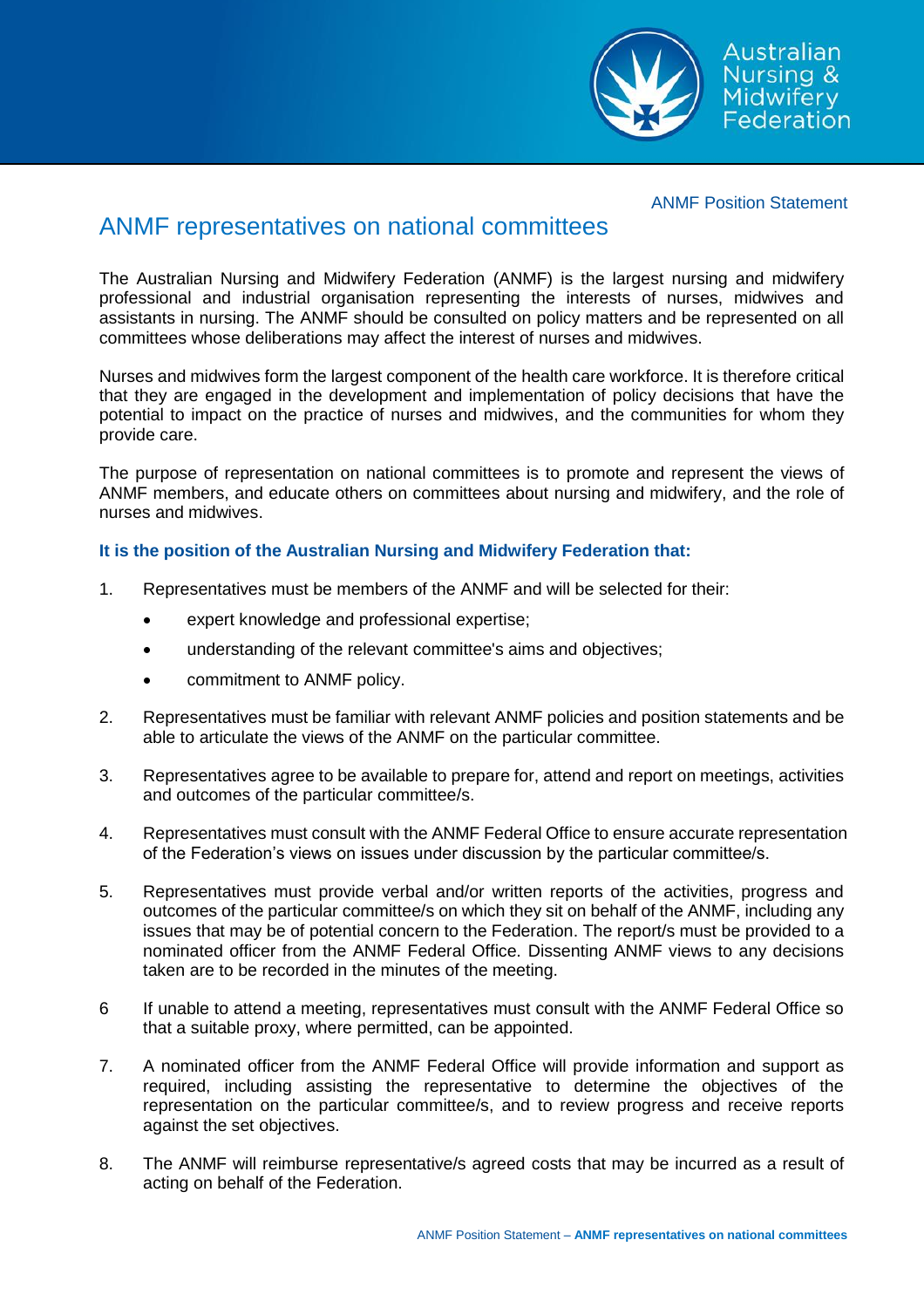

Australian Nursing & Midwifery<br>Federation

## ANMF Position Statement

## ANMF representatives on national committees

The Australian Nursing and Midwifery Federation (ANMF) is the largest nursing and midwifery professional and industrial organisation representing the interests of nurses, midwives and assistants in nursing. The ANMF should be consulted on policy matters and be represented on all committees whose deliberations may affect the interest of nurses and midwives.

Nurses and midwives form the largest component of the health care workforce. It is therefore critical that they are engaged in the development and implementation of policy decisions that have the potential to impact on the practice of nurses and midwives, and the communities for whom they provide care.

The purpose of representation on national committees is to promote and represent the views of ANMF members, and educate others on committees about nursing and midwifery, and the role of nurses and midwives.

## **It is the position of the Australian Nursing and Midwifery Federation that:**

- 1. Representatives must be members of the ANMF and will be selected for their:
	- expert knowledge and professional expertise;
	- understanding of the relevant committee's aims and objectives;
	- commitment to ANMF policy.
- 2. Representatives must be familiar with relevant ANMF policies and position statements and be able to articulate the views of the ANMF on the particular committee.
- 3. Representatives agree to be available to prepare for, attend and report on meetings, activities and outcomes of the particular committee/s.
- 4. Representatives must consult with the ANMF Federal Office to ensure accurate representation of the Federation's views on issues under discussion by the particular committee/s.
- 5. Representatives must provide verbal and/or written reports of the activities, progress and outcomes of the particular committee/s on which they sit on behalf of the ANMF, including any issues that may be of potential concern to the Federation. The report/s must be provided to a nominated officer from the ANMF Federal Office. Dissenting ANMF views to any decisions taken are to be recorded in the minutes of the meeting.
- 6 If unable to attend a meeting, representatives must consult with the ANMF Federal Office so that a suitable proxy, where permitted, can be appointed.
- 7. A nominated officer from the ANMF Federal Office will provide information and support as required, including assisting the representative to determine the objectives of the representation on the particular committee/s, and to review progress and receive reports against the set objectives.
- 8. The ANMF will reimburse representative/s agreed costs that may be incurred as a result of acting on behalf of the Federation.